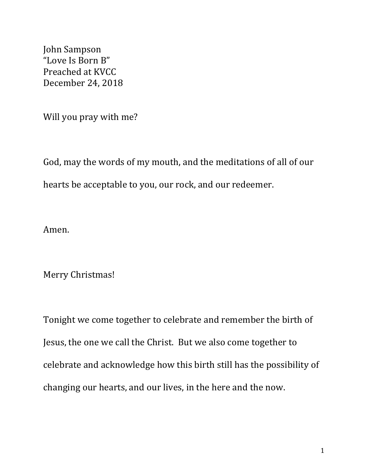John Sampson "Love Is Born B" Preached at KVCC December 24, 2018

Will you pray with me?

God, may the words of my mouth, and the meditations of all of our hearts be acceptable to you, our rock, and our redeemer.

Amen.

Merry Christmas!

Tonight we come together to celebrate and remember the birth of Jesus, the one we call the Christ. But we also come together to celebrate and acknowledge how this birth still has the possibility of changing our hearts, and our lives, in the here and the now.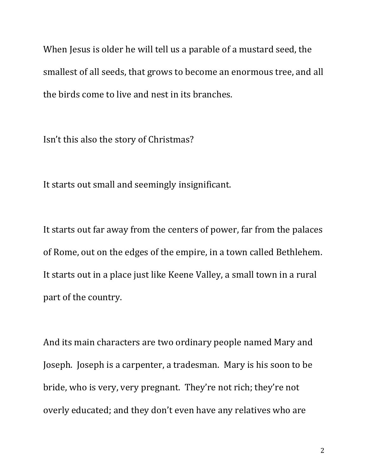When Jesus is older he will tell us a parable of a mustard seed, the smallest of all seeds, that grows to become an enormous tree, and all the birds come to live and nest in its branches.

Isn't this also the story of Christmas?

It starts out small and seemingly insignificant.

It starts out far away from the centers of power, far from the palaces of Rome, out on the edges of the empire, in a town called Bethlehem. It starts out in a place just like Keene Valley, a small town in a rural part of the country.

And its main characters are two ordinary people named Mary and Joseph. Joseph is a carpenter, a tradesman. Mary is his soon to be bride, who is very, very pregnant. They're not rich; they're not overly educated; and they don't even have any relatives who are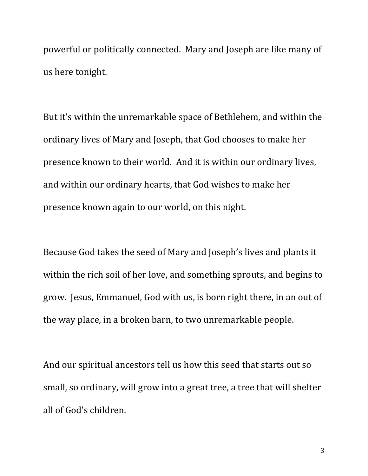powerful or politically connected. Mary and Joseph are like many of us here tonight.

But it's within the unremarkable space of Bethlehem, and within the ordinary lives of Mary and Joseph, that God chooses to make her presence known to their world. And it is within our ordinary lives, and within our ordinary hearts, that God wishes to make her presence known again to our world, on this night.

Because God takes the seed of Mary and Joseph's lives and plants it within the rich soil of her love, and something sprouts, and begins to grow. Jesus, Emmanuel, God with us, is born right there, in an out of the way place, in a broken barn, to two unremarkable people.

And our spiritual ancestors tell us how this seed that starts out so small, so ordinary, will grow into a great tree, a tree that will shelter all of God's children.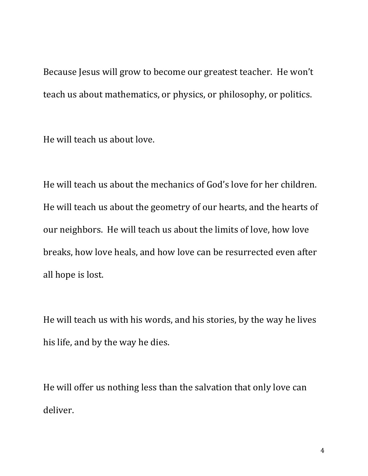Because Jesus will grow to become our greatest teacher. He won't teach us about mathematics, or physics, or philosophy, or politics.

He will teach us about love.

He will teach us about the mechanics of God's love for her children. He will teach us about the geometry of our hearts, and the hearts of our neighbors. He will teach us about the limits of love, how love breaks, how love heals, and how love can be resurrected even after all hope is lost.

He will teach us with his words, and his stories, by the way he lives his life, and by the way he dies.

He will offer us nothing less than the salvation that only love can deliver.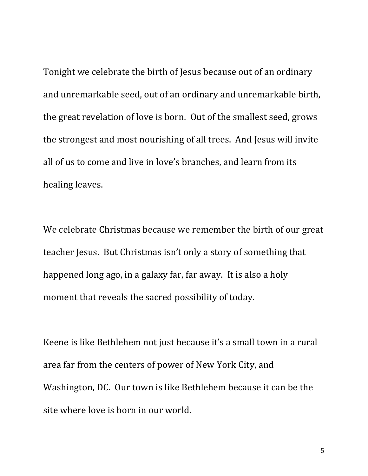Tonight we celebrate the birth of Jesus because out of an ordinary and unremarkable seed, out of an ordinary and unremarkable birth, the great revelation of love is born. Out of the smallest seed, grows the strongest and most nourishing of all trees. And Jesus will invite all of us to come and live in love's branches, and learn from its healing leaves.

We celebrate Christmas because we remember the birth of our great teacher Jesus. But Christmas isn't only a story of something that happened long ago, in a galaxy far, far away. It is also a holy moment that reveals the sacred possibility of today.

Keene is like Bethlehem not just because it's a small town in a rural area far from the centers of power of New York City, and Washington, DC. Our town is like Bethlehem because it can be the site where love is born in our world.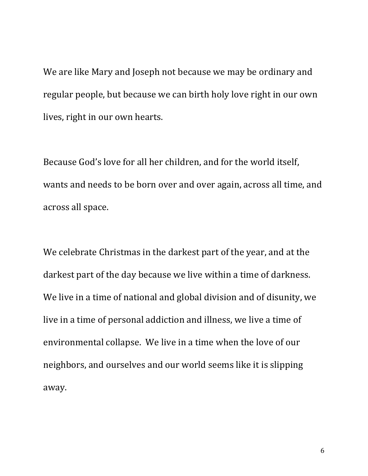We are like Mary and Joseph not because we may be ordinary and regular people, but because we can birth holy love right in our own lives, right in our own hearts.

Because God's love for all her children, and for the world itself, wants and needs to be born over and over again, across all time, and across all space.

We celebrate Christmas in the darkest part of the year, and at the darkest part of the day because we live within a time of darkness. We live in a time of national and global division and of disunity, we live in a time of personal addiction and illness, we live a time of environmental collapse. We live in a time when the love of our neighbors, and ourselves and our world seems like it is slipping away.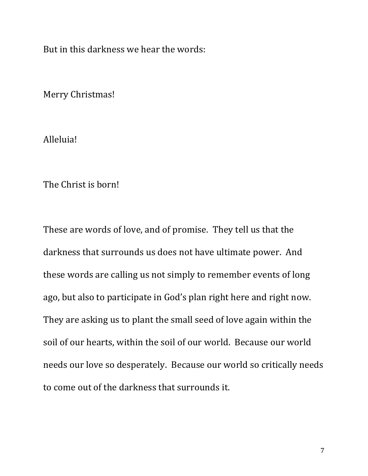But in this darkness we hear the words:

Merry Christmas!

Alleluia!

The Christ is born!

These are words of love, and of promise. They tell us that the darkness that surrounds us does not have ultimate power. And these words are calling us not simply to remember events of long ago, but also to participate in God's plan right here and right now. They are asking us to plant the small seed of love again within the soil of our hearts, within the soil of our world. Because our world needs our love so desperately. Because our world so critically needs to come out of the darkness that surrounds it.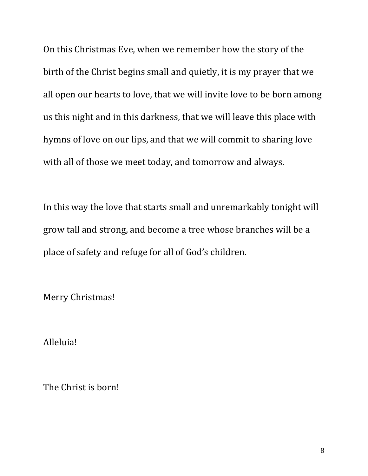On this Christmas Eve, when we remember how the story of the birth of the Christ begins small and quietly, it is my prayer that we all open our hearts to love, that we will invite love to be born among us this night and in this darkness, that we will leave this place with hymns of love on our lips, and that we will commit to sharing love with all of those we meet today, and tomorrow and always.

In this way the love that starts small and unremarkably tonight will grow tall and strong, and become a tree whose branches will be a place of safety and refuge for all of God's children.

Merry Christmas!

Alleluia!

The Christ is born!